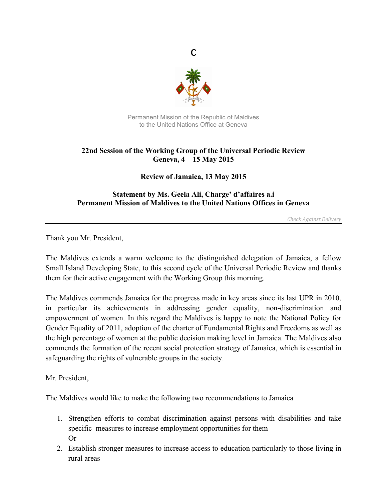

c

Permanent Mission of the Republic of Maldives to the United Nations Office at Geneva

## **22nd Session of the Working Group of the Universal Periodic Review Geneva, 4 – 15 May 2015**

**Review of Jamaica, 13 May 2015**

## **Statement by Ms. Geela Ali, Charge' d'affaires a.i Permanent Mission of Maldives to the United Nations Offices in Geneva**

*Check Against Delivery*

Thank you Mr. President,

The Maldives extends a warm welcome to the distinguished delegation of Jamaica, a fellow Small Island Developing State, to this second cycle of the Universal Periodic Review and thanks them for their active engagement with the Working Group this morning.

The Maldives commends Jamaica for the progress made in key areas since its last UPR in 2010, in particular its achievements in addressing gender equality, non-discrimination and empowerment of women. In this regard the Maldives is happy to note the National Policy for Gender Equality of 2011, adoption of the charter of Fundamental Rights and Freedoms as well as the high percentage of women at the public decision making level in Jamaica. The Maldives also commends the formation of the recent social protection strategy of Jamaica, which is essential in safeguarding the rights of vulnerable groups in the society.

Mr. President,

The Maldives would like to make the following two recommendations to Jamaica

- 1. Strengthen efforts to combat discrimination against persons with disabilities and take specific measures to increase employment opportunities for them Or
- 2. Establish stronger measures to increase access to education particularly to those living in rural areas